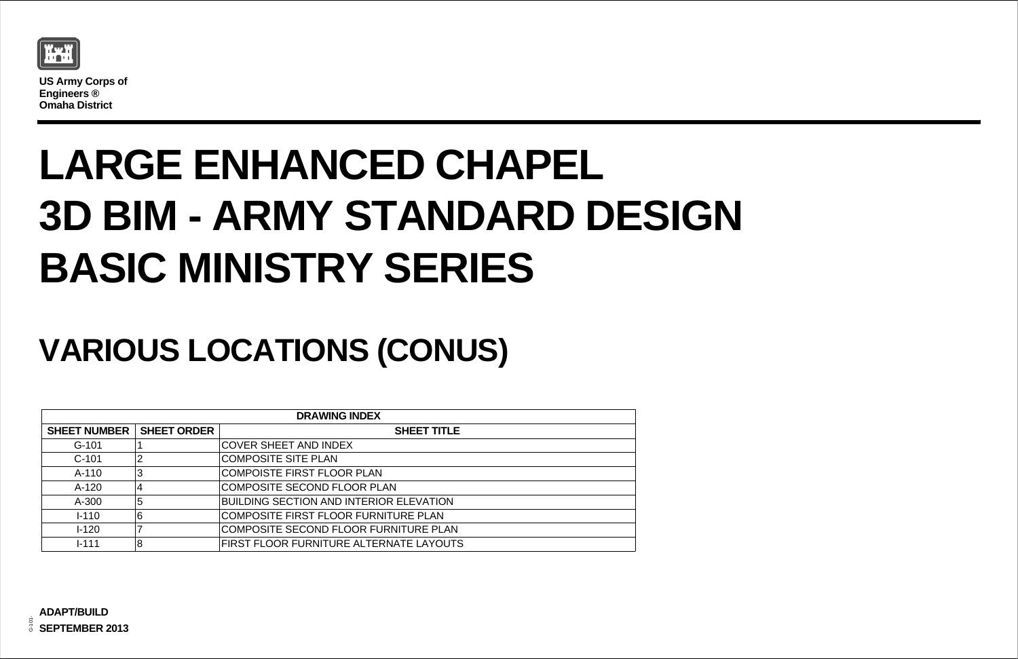

**US Army Corps of Engineers ® Omaha District**

## **LARGE ENHANCED CHAPEL 3D BIM - ARMY STANDARD DESIGN BASIC MINISTRY SERIES**

## **VARIOUS LOCATIONS (CONUS)**

| <b>DRAWING INDEX</b> |                    |                                                |  |  |  |
|----------------------|--------------------|------------------------------------------------|--|--|--|
| <b>SHEET NUMBER</b>  | <b>SHEET ORDER</b> | <b>SHEET TITLE</b>                             |  |  |  |
| $G-101$              |                    | <b>COVER SHEET AND INDEX</b>                   |  |  |  |
| $C-101$              | $\overline{2}$     | <b>COMPOSITE SITE PLAN</b>                     |  |  |  |
| $A-110$              | 3                  | <b>COMPOISTE FIRST FLOOR PLAN</b>              |  |  |  |
| A-120                | $\overline{4}$     | COMPOSITE SECOND FLOOR PLAN                    |  |  |  |
| A-300                | 5                  | <b>BUILDING SECTION AND INTERIOR ELEVATION</b> |  |  |  |
| $1 - 110$            | 6                  | <b>COMPOSITE FIRST FLOOR FURNITURE PLAN</b>    |  |  |  |
| $1 - 120$            |                    | COMPOSITE SECOND FLOOR FURNITURE PLAN          |  |  |  |
| $1 - 111$            | 8                  | FIRST FLOOR FURNITURE ALTERNATE LAYOUTS        |  |  |  |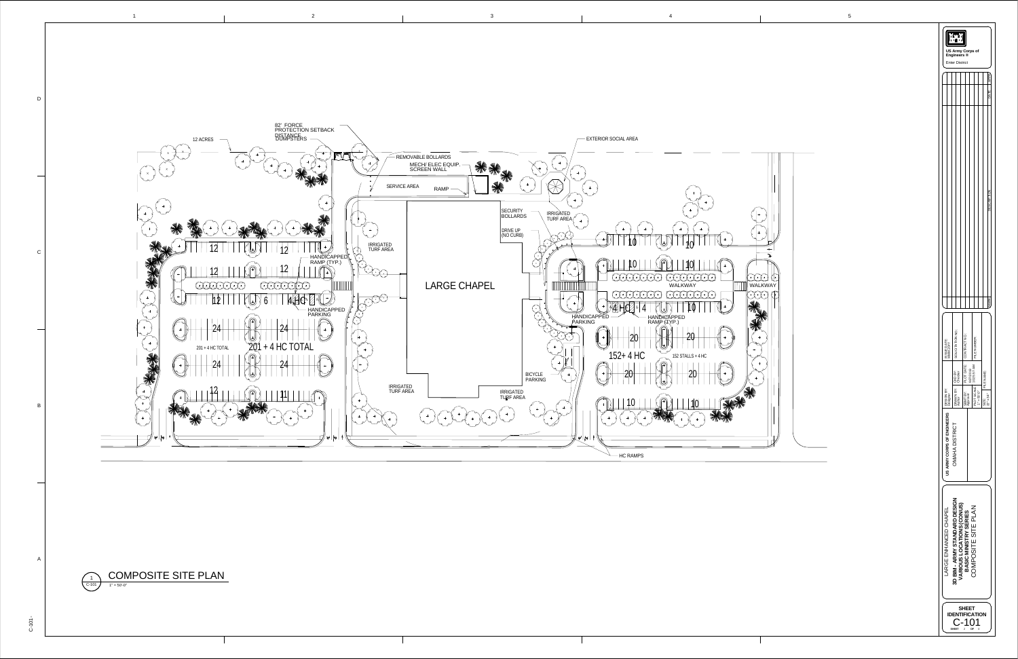1

|                                                                                                                                  | KxX<br><b>US Army Corps of</b><br>Engineers ®<br><b>Enter District</b> |                            |                                          |                    |  |  |  |
|----------------------------------------------------------------------------------------------------------------------------------|------------------------------------------------------------------------|----------------------------|------------------------------------------|--------------------|--|--|--|
|                                                                                                                                  |                                                                        |                            |                                          | APPR               |  |  |  |
|                                                                                                                                  |                                                                        |                            |                                          | DATE               |  |  |  |
|                                                                                                                                  |                                                                        |                            |                                          | <b>DESC</b>        |  |  |  |
|                                                                                                                                  |                                                                        |                            |                                          | <b>VIARK</b>       |  |  |  |
| ISSUE DATE:<br>MMM 20YY                                                                                                          | SOLICITATION NO.:                                                      | PLOT DATE:   CONTRACT NO.: | FILE NUMBER:                             |                    |  |  |  |
|                                                                                                                                  | CKD BY:<br>Checker                                                     | 9/27/2013                  |                                          | FILE NAME:         |  |  |  |
| DESIGN BY:<br>Designer                                                                                                           | DRAWN BY:<br>Author                                                    | SBMT BY:<br>Approver       | PLOT SCALE: 10:25:57 AM<br>$1" = 50'-0"$ | 22" x 34"<br>SIZE: |  |  |  |
| US ARMY CORPS OF ENGINEERS<br>OMAHA DISTRICT                                                                                     |                                                                        |                            |                                          |                    |  |  |  |
| BIM - ARMY STANDARD DESIGN<br>VARIOUS LOCATIONS (CONUS)<br>COMPOSITE SITE PLAN<br>LARGE ENHANCED CHAPEL<br>BASIC MINISTRY SERIES |                                                                        |                            |                                          |                    |  |  |  |
| SHEET<br><b>ENTIFICATION</b><br><b>SHEET</b><br>ΟF<br>0<br>2                                                                     |                                                                        |                            |                                          |                    |  |  |  |

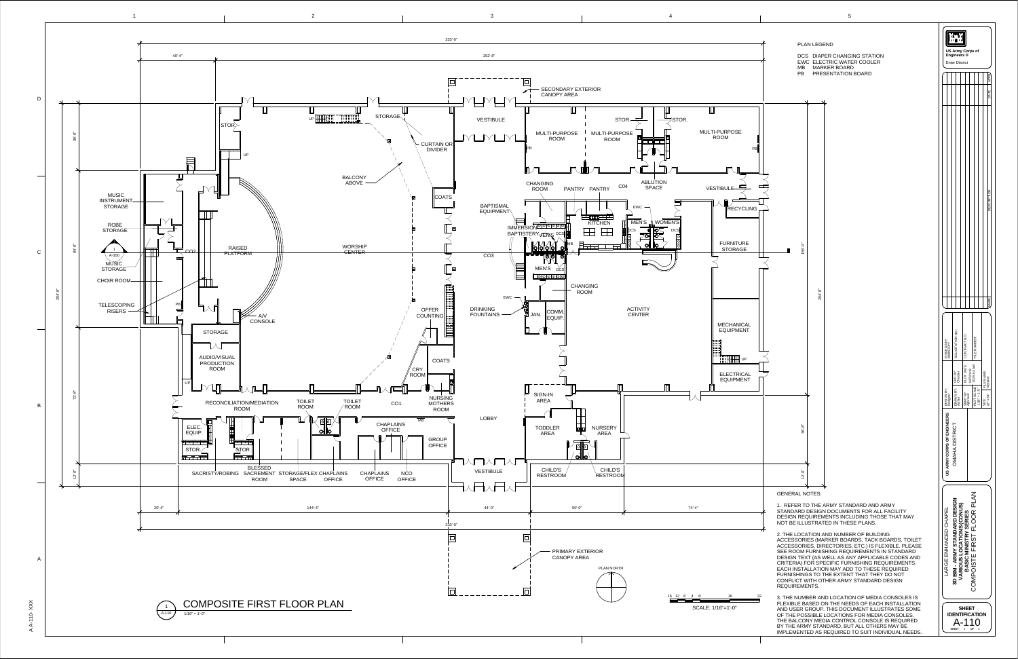AA- $\overline{\phantom{0}}$  $\overline{\phantom{0}}$ 0  $\times$  $\times$  $\times$ 

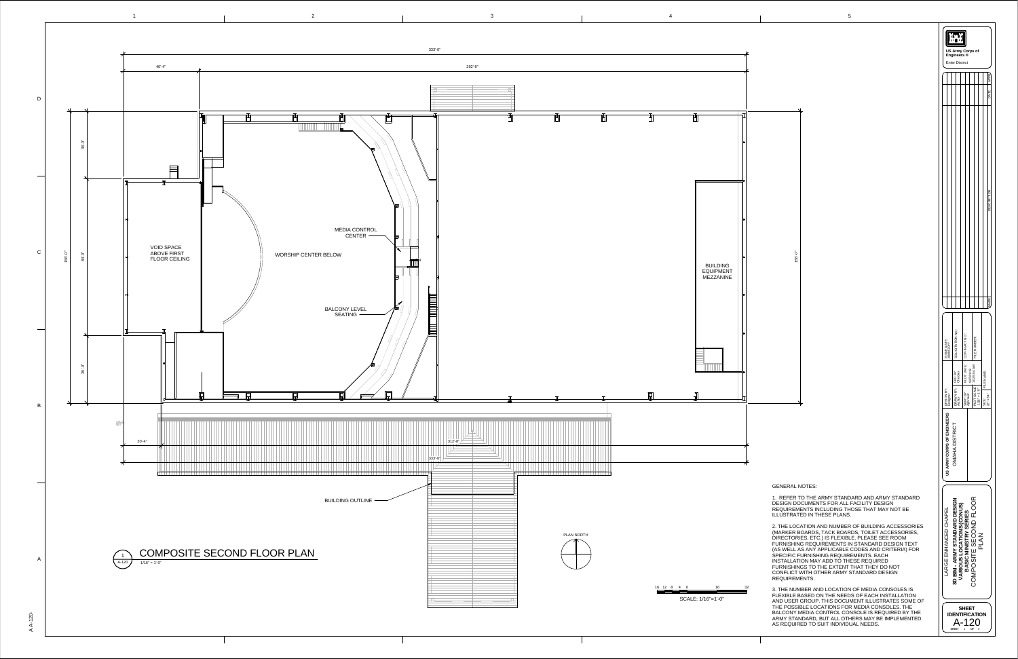156'-0"

## GENERAL NOTES:



|                                                   |                                                            |                                                    |                                                                                                                                                          | DATE<br>CCCDIDTIC                      |  |
|---------------------------------------------------|------------------------------------------------------------|----------------------------------------------------|----------------------------------------------------------------------------------------------------------------------------------------------------------|----------------------------------------|--|
| ISSUE DATE:<br>MMM 20YY<br>DESIGN BY:<br>Designer | SOLICITATION NO.:<br>DRAWN BY: CKD BY:<br>Author Checker   | PLOT DATE:   CONTRACT NO.:<br>SBMT BY:<br>Approver | FILE NUMBER:<br>$\begin{array}{c c}\n\text{PLOT SCALE:} & 9/27/2013 \\ \hline\n\text{PLOT SCALE:} & 10/25:54 \text{ AM}\n\end{array}$<br>$1/16" = 1'-0"$ | MARK<br><b>FILE NAME:</b><br>22" x 34" |  |
| US ARMY CORPS OF ENGINEERS                        | SIZE:<br>OMAHA DISTRICT                                    |                                                    |                                                                                                                                                          |                                        |  |
| LARGE ENHANCED CHAPEL                             | 3D BIM - ARMY STANDARD DESIGN<br>VARIOUS LOCATIONS (CONUS) | <b>BASIC MINISTRY SERIES</b>                       | COMPOSITE SECOND FLOOR<br><b>PLAN</b>                                                                                                                    |                                        |  |

1. REFER TO THE ARMY STANDARD AND ARMY STANDARD DESIGN DOCUMENTS FOR ALL FACILITY DESIGN REQUIREMENTS INCLUDING THOSE THAT MAY NOT BE ILLUSTRATED IN THESE PLANS.

2. THE LOCATION AND NUMBER OF BUILDING ACCESSORIES (MARKER BOARDS, TACK BOARDS, TOILET ACCESSORIES, DIRECTORIES, ETC.) IS FLEXIBLE. PLEASE SEE ROOM FURNISHING REQUIREMENTS IN STANDARD DESIGN TEXT (AS WELL AS ANY APPLICABLE CODES AND CRITERIA) FOR SPECIFIC FURNISHING REQUIREMENTS. EACH INSTALLATION MAY ADD TO THESE REQUIRED FURNISHINGS TO THE EXTENT THAT THEY DO NOT CONFLICT WITH OTHER ARMY STANDARD DESIGN REQUIREMENTS.

3. THE NUMBER AND LOCATION OF MEDIA CONSOLES IS FLEXIBLE BASED ON THE NEEDS OF EACH INSTALLATION AND USER GROUP. THIS DOCUMENT ILLUSTRATES SOME OF THE POSSIBLE LOCATIONS FOR MEDIA CONSOLES. THE BALCONY MEDIA CONTROL CONSOLE IS REQUIRED BY THE ARMY STANDARD, BUT ALL OTHERS MAY BE IMPLEMENTED AS REQUIRED TO SUIT INDIVIDUAL NEEDS.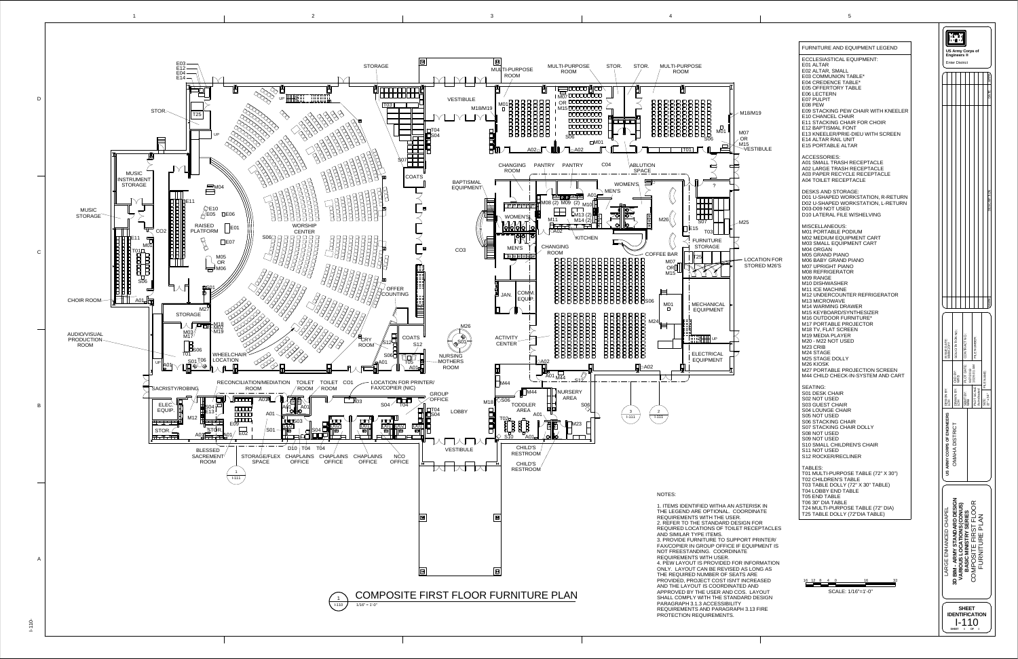

1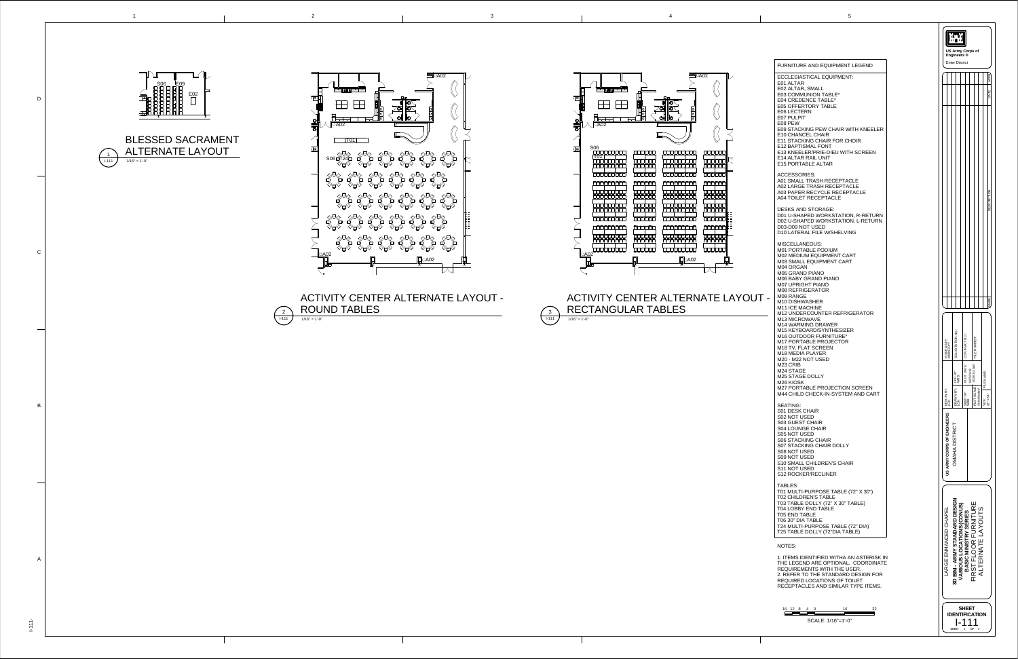A02 FO O  $\bullet$ **RADIO**  $\begin{picture}(120,110) \put(0,0){\line(1,0){155}} \put(15,0){\line(1,0){155}} \put(15,0){\line(1,0){155}} \put(15,0){\line(1,0){155}} \put(15,0){\line(1,0){155}} \put(15,0){\line(1,0){155}} \put(15,0){\line(1,0){155}} \put(15,0){\line(1,0){155}} \put(15,0){\line(1,0){155}} \put(15,0){\line(1,0){155}} \put(15,0){\line(1,0){155$  $\begin{picture}(120,15) \put(0,0){\line(1,0){155}} \put(15,0){\line(1,0){155}} \put(15,0){\line(1,0){155}} \put(15,0){\line(1,0){155}} \put(15,0){\line(1,0){155}} \put(15,0){\line(1,0){155}} \put(15,0){\line(1,0){155}} \put(15,0){\line(1,0){155}} \put(15,0){\line(1,0){155}} \put(15,0){\line(1,0){155}} \put(15,0){\line(1,0){155}}$  $\begin{picture}(120,15) \put(0,0){\line(1,0){155}} \put(15,0){\line(1,0){155}} \put(15,0){\line(1,0){155}} \put(15,0){\line(1,0){155}} \put(15,0){\line(1,0){155}} \put(15,0){\line(1,0){155}} \put(15,0){\line(1,0){155}} \put(15,0){\line(1,0){155}} \put(15,0){\line(1,0){155}} \put(15,0){\line(1,0){155}} \put(15,0){\line(1,0){155}}$ A02  $\overline{\mathcal{M}}$ 



 $I - 111$   $J - 1/16" = 1'-0"$ ACTIVITY CENTER ALTERNATE LAYOUT RECTANGULAR TABLES

|                                                                                                                                                                                                                                                                                                                                                                                                                                             | <b>US Army Corps of</b><br>Engineers ®                                                                                                                                     |
|---------------------------------------------------------------------------------------------------------------------------------------------------------------------------------------------------------------------------------------------------------------------------------------------------------------------------------------------------------------------------------------------------------------------------------------------|----------------------------------------------------------------------------------------------------------------------------------------------------------------------------|
| <b>FURNITURE AND EQUIPMENT LEGEND</b>                                                                                                                                                                                                                                                                                                                                                                                                       | <b>Enter District</b>                                                                                                                                                      |
| <b>ECCLESIASTICAL EQUIPMENT:</b><br>E01 ALTAR<br>E02 ALTAR, SMALL<br>E03 COMMUNION TABLE*<br>E04 CREDENCE TABLE*<br><b>E05 OFFERTORY TABLE</b><br><b>E06 LECTERN</b><br>E07 PULPIT<br>E08 PEW<br><b>E09 STACKING PEW CHAIR WITH KNEELER</b><br><b>E10 CHANCEL CHAIR</b><br><b>E11 STACKING CHAIR FOR CHOIR</b><br><b>E12 BAPTISMAL FONT</b><br>E13 KNEELER/PRIE-DIEU WITH SCREEN<br><b>E14 ALTAR RAIL UNIT</b><br><b>E15 PORTABLE ALTAR</b> |                                                                                                                                                                            |
| <b>ACCESSORIES:</b><br>A01 SMALL TRASH RECEPTACLE<br>A02 LARGE TRASH RECEPTACLE<br>A03 PAPER RECYCLE RECEPTACLE<br>A04 TOILET RECEPTACLE                                                                                                                                                                                                                                                                                                    |                                                                                                                                                                            |
| <b>DESKS AND STORAGE:</b><br>D01 U-SHAPED WORKSTATION, R-RETURN<br>D02 U-SHAPED WORKSTATION, L-RETURN<br>D03-D09 NOT USED<br><b>D10 LATERAL FILE W/SHELVING</b>                                                                                                                                                                                                                                                                             |                                                                                                                                                                            |
| <b>MISCELLANEOUS:</b><br><b>M01 PORTABLE PODIUM</b><br><b>M02 MEDIUM EQUIPMENT CART</b><br><b>M03 SMALL EQUIPMENT CART</b><br>M04 ORGAN<br><b>M05 GRAND PIANO</b><br><b>M06 BABY GRAND PIANO</b><br><b>M07 UPRIGHT PIANO</b><br><b>M08 REFRIGERATOR</b><br>M09 RANGE<br>M <sub>10</sub> DISHWASHER<br>M11 ICE MACHINE                                                                                                                       |                                                                                                                                                                            |
| <b>M12 UNDERCOUNTER REFRIGERATOR</b><br>M <sub>13</sub> MICROWAVE<br><b>M14 WARMING DRAWER</b><br>M15 KEYBOARD/SYNTHESIZER<br>M16 OUTDOOR FURNITURE*<br><b>M17 PORTABLE PROJECTOR</b><br>M18 TV, FLAT SCREEN<br>M19 MEDIA PLAYER<br>M20 - M22 NOT USED                                                                                                                                                                                      | SOLICITATION NO.<br>CONTRACT NO.<br>FILE NUMBER<br>ISSUE DATE:<br>MMM 20YY                                                                                                 |
| M <sub>23</sub> CRIB<br>M24 STAGE<br><b>M25 STAGE DOLLY</b><br>M <sub>26</sub> KIOSK<br><b>M27 PORTABLE PROJECTION SCREEN</b><br>M44 CHILD CHECK-IN-SYSTEM AND CART                                                                                                                                                                                                                                                                         | PLOT DATE<br>9/27/2013<br>10:26:02 AM<br>CKD BY:<br>WRB<br>FILE NAME:<br>PLOT SCALE:<br>As indicated<br>SIZE: FII<br>22" x 34"<br>SIGN BY:<br>H<br>DRAWN BY:<br>LOH<br>BY: |
| <b>SEATING:</b><br><b>S01 DESK CHAIR</b><br>S02 NOT USED<br><b>S03 GUEST CHAIR</b><br><b>S04 LOUNGE CHAIR</b><br>S05 NOT USED<br><b>S06 STACKING CHAIR</b><br>S07 STACKING CHAIR DOLLY<br>S08 NOT USED<br>S09 NOT USED<br><b>S10 SMALL CHILDREN'S CHAIR</b><br>S11 NOT USED<br><b>S12 ROCKER/RECLINER</b>                                                                                                                                   | SBMT<br>WRB<br>Ĥд<br>US ARMY CORPS OF ENGINEERS<br><b>OMAHA DISTRICT</b>                                                                                                   |
| <b>TABLES:</b><br>T01 MULTI-PURPOSE TABLE (72" X 30")<br><b>T02 CHILDREN'S TABLE</b><br>T03 TABLE DOLLY (72" X 30" TABLE)<br><b>T04 LOBBY END TABLE</b><br><b>T05 END TABLE</b><br>T06 30" DIA TABLE<br>T24 MULTI-PURPOSE TABLE (72" DIA)<br>T25 TABLE DOLLY (72"DIA TABLE)                                                                                                                                                                 | ENHANCED CHAPEI                                                                                                                                                            |
| <b>NOTES:</b><br>1. ITEMS IDENTIFIED WITHA AN ASTERISK IN<br>THE LEGEND ARE OPTIONAL. COORDINATE<br>REQUIREMENTS WITH THE USER.<br>2. REFER TO THE STANDARD DESIGN FOR<br><b>REQUIRED LOCATIONS OF TOILET</b><br>RECEPTACLES AND SIMILAR TYPE ITEMS.                                                                                                                                                                                        | 3D BIM - ARMY STANDARD DESIGN<br>VARIOUS LOCATIONS (CONUS)<br>BASIC MINISTRY SERIES<br>FIRST FLOOR FURNITURE<br>ALTERNATE LAYOUTS<br>ARGE                                  |
| 16 12 8 4 0<br>16<br>32<br>SCALE: 1/16"=1'-0"                                                                                                                                                                                                                                                                                                                                                                                               | <b>SHEET</b><br><b>IDENTIFICATION</b><br><b>SHEET</b><br>8<br>OF                                                                                                           |



ACTIVITY CENTER ALTERNATE LAYOUT -

3